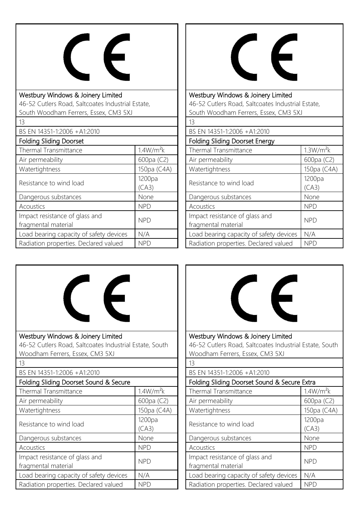

## Westbury Windows & Joinery Limited 46-52 Cutlers Road, Saltcoates Industrial Estate, South Woodham Ferrers, Essex, CM3 5XJ 13 BS EN 14351-1:2006 +A1:2010 Folding Sliding Doorset Thermal Transmittance 1.4W/m<sup>2</sup>k Air permeability 600pa (C2) Watertightness 150pa (C4A) Resistance to wind load 1200pa  $(CA3)$ Dangerous substances None Acoustics NPD Impact resistance of glass and fragmental material number of grass and structure NPD

Load bearing capacity of safety devices  $\parallel$  N/A Radiation properties. Declared valued NPD

I



Westbury Windows & Joinery Limited 46-52 Cutlers Road, Saltcoates Industrial Estate, South Woodham Ferrers, Essex, CM3 5XJ

| 13                                                    |                       |  |
|-------------------------------------------------------|-----------------------|--|
| BS EN 14351-1:2006 + A1:2010                          |                       |  |
| <b>Folding Sliding Doorset Energy</b>                 |                       |  |
| Thermal Transmittance                                 | 1.3W/m <sup>2</sup> k |  |
| Air permeability                                      | 600pa (C2)            |  |
| Watertightness                                        | 150pa (C4A)           |  |
| Resistance to wind load                               | 1200pa<br>(CA3)       |  |
| Dangerous substances                                  | None                  |  |
| Acoustics                                             | <b>NPD</b>            |  |
| Impact resistance of glass and<br>fragmental material | <b>NPD</b>            |  |
| Load bearing capacity of safety devices               | N/A                   |  |
| Radiation properties. Declared valued                 | <b>NPD</b>            |  |





Westbury Windows & Joinery Limited 46-52 Cutlers Road, Saltcoates Industrial Estate, South Woodham Ferrers, Essex, CM3 5XJ 13

## BS EN 14351-1:2006 +A1:2010

| Folding Sliding Doorset Sound & Secure Extra          |                       |  |
|-------------------------------------------------------|-----------------------|--|
| Thermal Transmittance                                 | 1.4W/m <sup>2</sup> k |  |
| Air permeability                                      | 600pa (C2)            |  |
| Watertightness                                        | 150pa (C4A)           |  |
| Resistance to wind load                               | 1200pa<br>(CA3)       |  |
| Dangerous substances                                  | None                  |  |
| Acoustics                                             | <b>NPD</b>            |  |
| Impact resistance of glass and<br>fragmental material | <b>NPD</b>            |  |
| Load bearing capacity of safety devices               | N/A                   |  |
| Radiation properties. Declared valued                 | NPD                   |  |